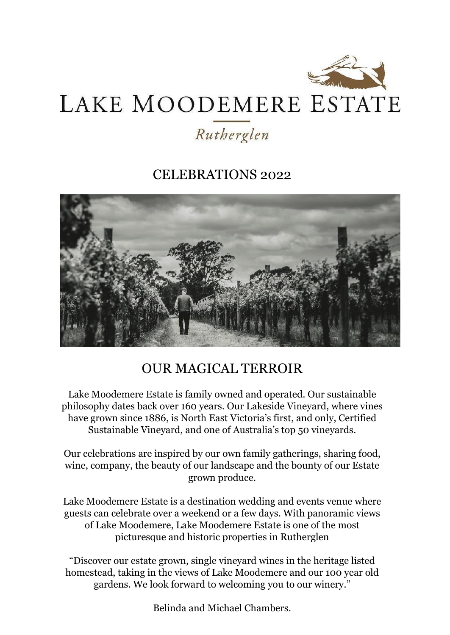

# LAKE MOODEMERE ESTATE

## Rutherglen

### CELEBRATIONS 2022



## OUR MAGICAL TERROIR

Lake Moodemere Estate is family owned and operated. Our sustainable philosophy dates back over 160 years. Our Lakeside Vineyard, where vines have grown since 1886, is North East Victoria's first, and only, Certified Sustainable Vineyard, and one of Australia's top 50 vineyards.

Our celebrations are inspired by our own family gatherings, sharing food, wine, company, the beauty of our landscape and the bounty of our Estate grown produce.

Lake Moodemere Estate is a destination wedding and events venue where guests can celebrate over a weekend or a few days. With panoramic views of Lake Moodemere, Lake Moodemere Estate is one of the most picturesque and historic properties in Rutherglen

"Discover our estate grown, single vineyard wines in the heritage listed homestead, taking in the views of Lake Moodemere and our 100 year old gardens. We look forward to welcoming you to our winery."

Belinda and Michael Chambers.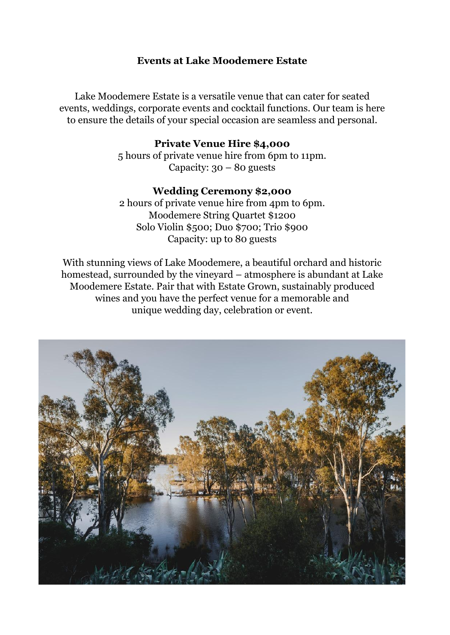#### **Events at Lake Moodemere Estate**

Lake Moodemere Estate is a versatile venue that can cater for seated events, weddings, corporate events and cocktail functions. Our team is here to ensure the details of your special occasion are seamless and personal.

#### **Private Venue Hire \$4,000**

5 hours of private venue hire from 6pm to 11pm. Capacity:  $30 - 80$  guests

#### **Wedding Ceremony \$2,000**

2 hours of private venue hire from 4pm to 6pm. Moodemere String Quartet \$1200 Solo Violin \$500; Duo \$700; Trio \$900 Capacity: up to 80 guests

With stunning views of Lake Moodemere, a beautiful orchard and historic homestead, surrounded by the vineyard – atmosphere is abundant at Lake Moodemere Estate. Pair that with Estate Grown, sustainably produced wines and you have the perfect venue for a memorable and unique wedding day, celebration or event.

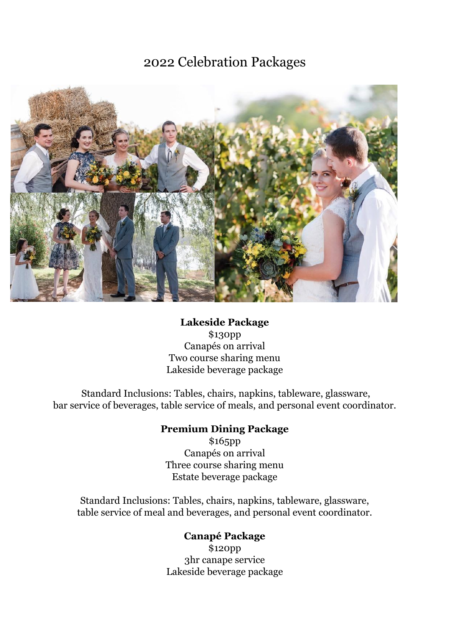2022 Celebration Packages



#### **Lakeside Package**

\$130pp Canapés on arrival Two course sharing menu Lakeside beverage package

Standard Inclusions: Tables, chairs, napkins, tableware, glassware, bar service of beverages, table service of meals, and personal event coordinator.

#### **Premium Dining Package**

\$165pp Canapés on arrival Three course sharing menu Estate beverage package

Standard Inclusions: Tables, chairs, napkins, tableware, glassware, table service of meal and beverages, and personal event coordinator.

> **Canapé Package** \$120pp 3hr canape service Lakeside beverage package